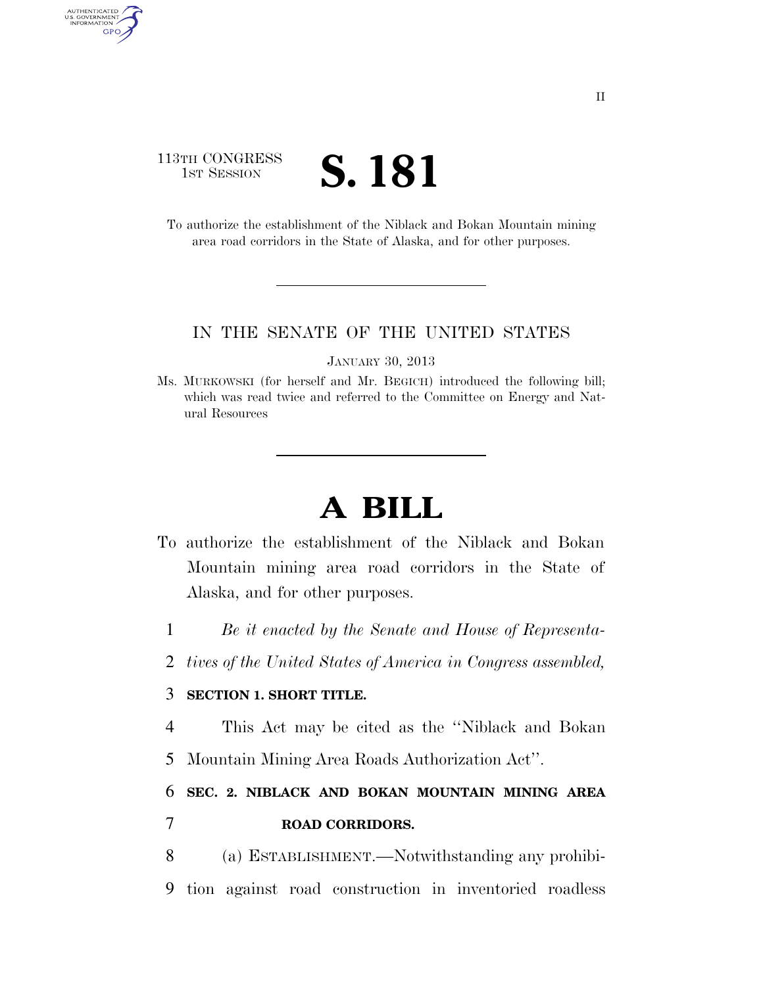### 113TH CONGRESS TH CONGRESS **S. 181**

AUTHENTICATED<br>U.S. GOVERNMENT<br>INFORMATION

GPO

To authorize the establishment of the Niblack and Bokan Mountain mining area road corridors in the State of Alaska, and for other purposes.

#### IN THE SENATE OF THE UNITED STATES

JANUARY 30, 2013

Ms. MURKOWSKI (for herself and Mr. BEGICH) introduced the following bill; which was read twice and referred to the Committee on Energy and Natural Resources

# **A BILL**

- To authorize the establishment of the Niblack and Bokan Mountain mining area road corridors in the State of Alaska, and for other purposes.
	- 1 *Be it enacted by the Senate and House of Representa-*
	- 2 *tives of the United States of America in Congress assembled,*

### 3 **SECTION 1. SHORT TITLE.**

4 This Act may be cited as the ''Niblack and Bokan

5 Mountain Mining Area Roads Authorization Act''.

## 6 **SEC. 2. NIBLACK AND BOKAN MOUNTAIN MINING AREA**  7 **ROAD CORRIDORS.**

8 (a) ESTABLISHMENT.—Notwithstanding any prohibi-9 tion against road construction in inventoried roadless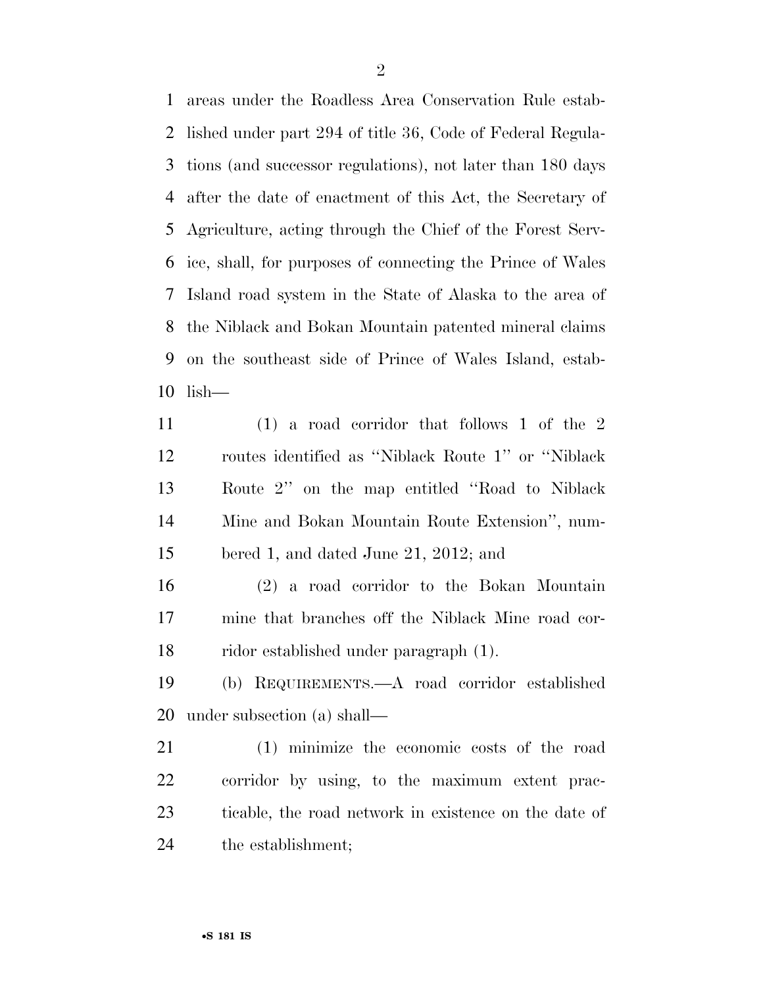areas under the Roadless Area Conservation Rule estab- lished under part 294 of title 36, Code of Federal Regula- tions (and successor regulations), not later than 180 days after the date of enactment of this Act, the Secretary of Agriculture, acting through the Chief of the Forest Serv- ice, shall, for purposes of connecting the Prince of Wales Island road system in the State of Alaska to the area of the Niblack and Bokan Mountain patented mineral claims on the southeast side of Prince of Wales Island, estab-lish—

 (1) a road corridor that follows 1 of the 2 routes identified as ''Niblack Route 1'' or ''Niblack Route 2'' on the map entitled ''Road to Niblack Mine and Bokan Mountain Route Extension'', num-bered 1, and dated June 21, 2012; and

 (2) a road corridor to the Bokan Mountain mine that branches off the Niblack Mine road cor-ridor established under paragraph (1).

 (b) REQUIREMENTS.—A road corridor established under subsection (a) shall—

 (1) minimize the economic costs of the road corridor by using, to the maximum extent prac- ticable, the road network in existence on the date of the establishment;